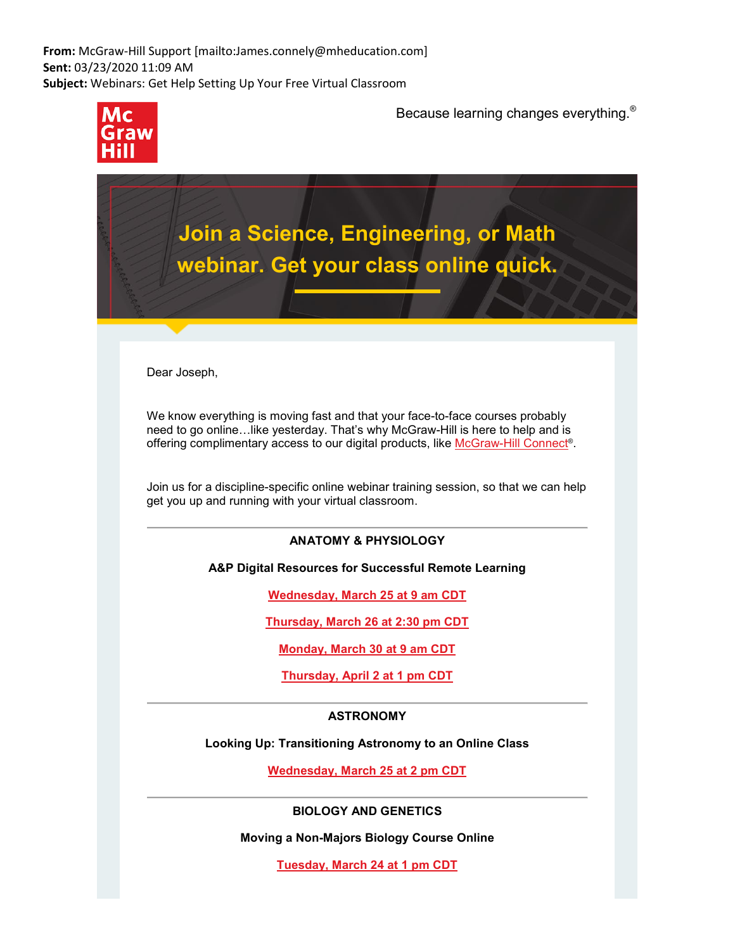**From:** McGraw-Hill Support [mailto:James.connely@mheducation.com] **Sent:** 03/23/2020 11:09 AM **Subject:** Webinars: Get Help Setting Up Your Free Virtual Classroom



Because learning changes everything.®

**Join a Science, Engineering, or Math webinar. Get your class online quick.** 

Dear Joseph,

We know everything is moving fast and that your face-to-face courses probably need to go online…like yesterday. That's why McGraw-Hill is here to help and is offering complimentary access to our digital products, like [McGraw-Hill Connect®](https://nam05.safelinks.protection.outlook.com/?url=http%3A%2F%2Fgo.mheducation.com%2FR00762iJwx000020SlW2Zo5&data=02%7C01%7Cjoeg%40pitt.edu%7C840d4c28e6f3490870ba08d7cf3c1d04%7C9ef9f489e0a04eeb87cc3a526112fd0d%7C1%7C0%7C637205729409216004&sdata=WC3%2F%2BYQRVqlOpSq8uAoG9IhcRB1csQjekkeR5SCueeQ%3D&reserved=0).

Join us for a discipline-specific online webinar training session, so that we can help get you up and running with your virtual classroom.

# **ANATOMY & PHYSIOLOGY**

**A&P Digital Resources for Successful Remote Learning** 

**[Wednesday, March 25 at 9 am CDT](https://nam05.safelinks.protection.outlook.com/?url=http%3A%2F%2Fgo.mheducation.com%2FNJ00mSwx000i22W50o60207&data=02%7C01%7Cjoeg%40pitt.edu%7C840d4c28e6f3490870ba08d7cf3c1d04%7C9ef9f489e0a04eeb87cc3a526112fd0d%7C1%7C0%7C637205729409216004&sdata=xdoXnS9xIBJ8DuUCV7kuZQL6QRfNCxsQzQ2whRckFg0%3D&reserved=0)**

**[Thursday, March 26 at 2:30 pm CDT](https://nam05.safelinks.protection.outlook.com/?url=http%3A%2F%2Fgo.mheducation.com%2FV2J1005x2i0W000S76w2no0&data=02%7C01%7Cjoeg%40pitt.edu%7C840d4c28e6f3490870ba08d7cf3c1d04%7C9ef9f489e0a04eeb87cc3a526112fd0d%7C1%7C0%7C637205729409226001&sdata=NRdqZu6E72nm%2BypshqTmwCcB9cAaKjDWESGRtqszweQ%3D&reserved=0)**

**[Monday, March 30 at 9 am CDT](https://nam05.safelinks.protection.outlook.com/?url=http%3A%2F%2Fgo.mheducation.com%2Fp0600S5i2W0w0ooJx702220&data=02%7C01%7Cjoeg%40pitt.edu%7C840d4c28e6f3490870ba08d7cf3c1d04%7C9ef9f489e0a04eeb87cc3a526112fd0d%7C1%7C0%7C637205729409226001&sdata=yeadvsqXo3apFnlMZWhBz2kpwkG49TMsG9jIzW1bTJQ%3D&reserved=0)**

**[Thursday, April 2 at 1 pm CDT](https://nam05.safelinks.protection.outlook.com/?url=http%3A%2F%2Fgo.mheducation.com%2FtxW20w02S207305oJ6000ip&data=02%7C01%7Cjoeg%40pitt.edu%7C840d4c28e6f3490870ba08d7cf3c1d04%7C9ef9f489e0a04eeb87cc3a526112fd0d%7C1%7C0%7C637205729409235993&sdata=iV6wrXucvrRhLNHtA9gYklB0XYxXF9t8HDXsAEr5kYs%3D&reserved=0)**

## **ASTRONOMY**

**Looking Up: Transitioning Astronomy to an Online Class**

**[Wednesday, March 25 at 2 pm CDT](https://nam05.safelinks.protection.outlook.com/?url=http%3A%2F%2Fgo.mheducation.com%2Fv0620o2q0x7WS24iJ00w005&data=02%7C01%7Cjoeg%40pitt.edu%7C840d4c28e6f3490870ba08d7cf3c1d04%7C9ef9f489e0a04eeb87cc3a526112fd0d%7C1%7C0%7C637205729409235993&sdata=JzfRzg7MqN7uZ7amjyYK9dEhMqNr49XSJUzQPABrhOo%3D&reserved=0)**

**BIOLOGY AND GENETICS**

**Moving a Non-Majors Biology Course Online**

**[Tuesday, March 24 at 1 pm CDT](https://nam05.safelinks.protection.outlook.com/?url=http%3A%2F%2Fgo.mheducation.com%2FWS0i5oJ670r0Wx200w52200&data=02%7C01%7Cjoeg%40pitt.edu%7C840d4c28e6f3490870ba08d7cf3c1d04%7C9ef9f489e0a04eeb87cc3a526112fd0d%7C1%7C0%7C637205729409235993&sdata=ankrgG%2FHnLxL%2FGquVBXVcdaNxZRAXWwgxac9El9XsU0%3D&reserved=0)**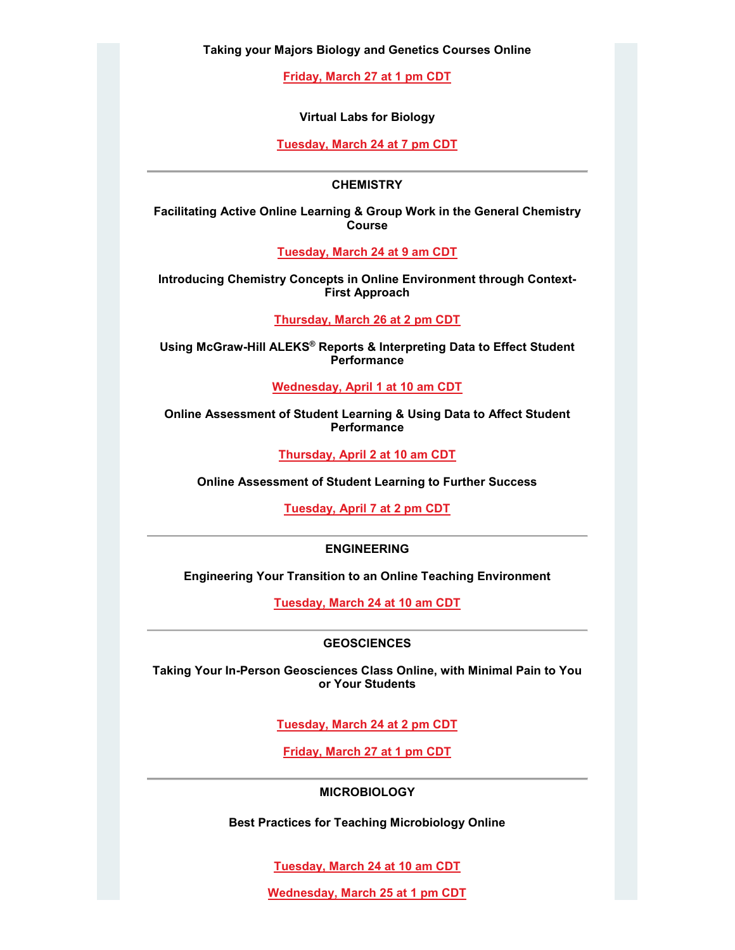**Taking your Majors Biology and Genetics Courses Online**

**[Friday, March 27 at 1 pm CDT](https://nam05.safelinks.protection.outlook.com/?url=http%3A%2F%2Fgo.mheducation.com%2Fyi2S2w2o0x07WJs56600000&data=02%7C01%7Cjoeg%40pitt.edu%7C840d4c28e6f3490870ba08d7cf3c1d04%7C9ef9f489e0a04eeb87cc3a526112fd0d%7C1%7C0%7C637205729409245988&sdata=92oXlwcCCNtFac2M0RCXLvLM9kVfJoDx%2Bck1ifu2jos%3D&reserved=0)**

**Virtual Labs for Biology**

**[Tuesday, March 24 at 7 pm CDT](https://nam05.safelinks.protection.outlook.com/?url=http%3A%2F%2Fgo.mheducation.com%2Feo52tW00000JS20w6i7720x&data=02%7C01%7Cjoeg%40pitt.edu%7C840d4c28e6f3490870ba08d7cf3c1d04%7C9ef9f489e0a04eeb87cc3a526112fd0d%7C1%7C0%7C637205729409245988&sdata=9sBt5gS90EwFHwzJ7rcfA%2Fpx5gezXyU129m0vw3HOPg%3D&reserved=0)**

### **CHEMISTRY**

**Facilitating Active Online Learning & Group Work in the General Chemistry Course**

**[Tuesday, March 24 at 9 am CDT](https://nam05.safelinks.protection.outlook.com/?url=http%3A%2F%2Fgo.mheducation.com%2Fm000o80065wxi722J2u0SW0&data=02%7C01%7Cjoeg%40pitt.edu%7C840d4c28e6f3490870ba08d7cf3c1d04%7C9ef9f489e0a04eeb87cc3a526112fd0d%7C1%7C0%7C637205729409255982&sdata=CLWDWu0Kebxe%2FA%2BHoCHojWzvDN%2BvPVev0V2U5naDWC8%3D&reserved=0)**

**Introducing Chemistry Concepts in Online Environment through Context-First Approach**

**[Thursday, March 26 at 2 pm CDT](https://nam05.safelinks.protection.outlook.com/?url=http%3A%2F%2Fgo.mheducation.com%2Fm000o80065wxi722J2u0SW0&data=02%7C01%7Cjoeg%40pitt.edu%7C840d4c28e6f3490870ba08d7cf3c1d04%7C9ef9f489e0a04eeb87cc3a526112fd0d%7C1%7C0%7C637205729409255982&sdata=CLWDWu0Kebxe%2FA%2BHoCHojWzvDN%2BvPVev0V2U5naDWC8%3D&reserved=0)**

**Using McGraw-Hill ALEKS® Reports & Interpreting Data to Effect Student Performance**

**[Wednesday, April 1 at 10 am CDT](https://nam05.safelinks.protection.outlook.com/?url=http%3A%2F%2Fgo.mheducation.com%2Fm000o80065wxi722J2u0SW0&data=02%7C01%7Cjoeg%40pitt.edu%7C840d4c28e6f3490870ba08d7cf3c1d04%7C9ef9f489e0a04eeb87cc3a526112fd0d%7C1%7C0%7C637205729409265977&sdata=QBzTdWUhvQPPSL6QDq9sdLjgfOHMCj9DjA%2B5RCXVBQU%3D&reserved=0)**

**Online Assessment of Student Learning & Using Data to Affect Student Performance**

**[Thursday, April 2 at 10 am CDT](https://nam05.safelinks.protection.outlook.com/?url=http%3A%2F%2Fgo.mheducation.com%2Fm000o80065wxi722J2u0SW0&data=02%7C01%7Cjoeg%40pitt.edu%7C840d4c28e6f3490870ba08d7cf3c1d04%7C9ef9f489e0a04eeb87cc3a526112fd0d%7C1%7C0%7C637205729409265977&sdata=QBzTdWUhvQPPSL6QDq9sdLjgfOHMCj9DjA%2B5RCXVBQU%3D&reserved=0)**

**Online Assessment of Student Learning to Further Success** 

**[Tuesday, April 7 at 2 pm CDT](https://nam05.safelinks.protection.outlook.com/?url=http%3A%2F%2Fgo.mheducation.com%2Fm000o80065wxi722J2u0SW0&data=02%7C01%7Cjoeg%40pitt.edu%7C840d4c28e6f3490870ba08d7cf3c1d04%7C9ef9f489e0a04eeb87cc3a526112fd0d%7C1%7C0%7C637205729409265977&sdata=QBzTdWUhvQPPSL6QDq9sdLjgfOHMCj9DjA%2B5RCXVBQU%3D&reserved=0)**

#### **ENGINEERING**

**Engineering Your Transition to an Online Teaching Environment**

**[Tuesday, March 24 at 10 am CDT](https://nam05.safelinks.protection.outlook.com/?url=http%3A%2F%2Fgo.mheducation.com%2Fo00vo009200i2S562WJxw70&data=02%7C01%7Cjoeg%40pitt.edu%7C840d4c28e6f3490870ba08d7cf3c1d04%7C9ef9f489e0a04eeb87cc3a526112fd0d%7C1%7C0%7C637205729409275974&sdata=AOq%2BGM%2FjCkGPzkddNi7YY5tuwjSoURkt%2B2Hjnt3zBk0%3D&reserved=0)**

#### **GEOSCIENCES**

**Taking Your In-Person Geosciences Class Online, with Minimal Pain to You or Your Students**

**[Tuesday, March 24 at 2 pm CDT](https://nam05.safelinks.protection.outlook.com/?url=http%3A%2F%2Fgo.mheducation.com%2FCJ200b0x702S0ox20w5iW06&data=02%7C01%7Cjoeg%40pitt.edu%7C840d4c28e6f3490870ba08d7cf3c1d04%7C9ef9f489e0a04eeb87cc3a526112fd0d%7C1%7C0%7C637205729409285967&sdata=CWpeBYAvLAIJzWxJAAwU4uGjXBvaNCgeIqsQadf67RU%3D&reserved=0)**

**[Friday, March 27 at 1 pm CDT](https://nam05.safelinks.protection.outlook.com/?url=http%3A%2F%2Fgo.mheducation.com%2FHS0005w0o2a22W607iJ00wx&data=02%7C01%7Cjoeg%40pitt.edu%7C840d4c28e6f3490870ba08d7cf3c1d04%7C9ef9f489e0a04eeb87cc3a526112fd0d%7C1%7C0%7C637205729409285967&sdata=oJs4sACYUqAscAXRh6Q1GdrCiIcDxMP6R3LZC%2Bl7Zj4%3D&reserved=0)**

#### **MICROBIOLOGY**

**Best Practices for Teaching Microbiology Online**

**[Tuesday, March 24 at 10 am CDT](https://nam05.safelinks.protection.outlook.com/?url=http%3A%2F%2Fgo.mheducation.com%2Fn0S20yc00wo70WJ02i05x26&data=02%7C01%7Cjoeg%40pitt.edu%7C840d4c28e6f3490870ba08d7cf3c1d04%7C9ef9f489e0a04eeb87cc3a526112fd0d%7C1%7C0%7C637205729409285967&sdata=7HMD8er9iZyj%2FJ57GNf5e0cImJaaK4H6gVTJkQ3MYns%3D&reserved=0)**

**[Wednesday, March 25 at 1 pm CDT](https://nam05.safelinks.protection.outlook.com/?url=http%3A%2F%2Fgo.mheducation.com%2Fyi2S2w2o0x07WJz56d00000&data=02%7C01%7Cjoeg%40pitt.edu%7C840d4c28e6f3490870ba08d7cf3c1d04%7C9ef9f489e0a04eeb87cc3a526112fd0d%7C1%7C0%7C637205729409295962&sdata=WlzF6P1q34tC7ElUWO2GkIbAFPVJZrmCUGiQs%2BI4ieU%3D&reserved=0)**